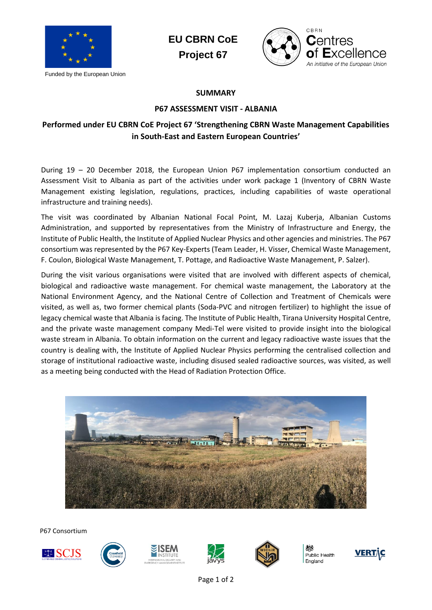

**EU CBRN CoE Project 67**



## **SUMMARY**

## **P67 ASSESSMENT VISIT - ALBANIA**

## **Performed under EU CBRN CoE Project 67 'Strengthening CBRN Waste Management Capabilities in South-East and Eastern European Countries'**

During 19 – 20 December 2018, the European Union P67 implementation consortium conducted an Assessment Visit to Albania as part of the activities under work package 1 (Inventory of CBRN Waste Management existing legislation, regulations, practices, including capabilities of waste operational infrastructure and training needs).

The visit was coordinated by Albanian National Focal Point, M. Lazaj Kuberja, Albanian Customs Administration, and supported by representatives from the Ministry of Infrastructure and Energy, the Institute of Public Health, the Institute of Applied Nuclear Physics and other agencies and ministries. The P67 consortium was represented by the P67 Key-Experts (Team Leader, H. Visser, Chemical Waste Management, F. Coulon, Biological Waste Management, T. Pottage, and Radioactive Waste Management, P. Salzer).

During the visit various organisations were visited that are involved with different aspects of chemical, biological and radioactive waste management. For chemical waste management, the Laboratory at the National Environment Agency, and the National Centre of Collection and Treatment of Chemicals were visited, as well as, two former chemical plants (Soda-PVC and nitrogen fertilizer) to highlight the issue of legacy chemical waste that Albania is facing. The Institute of Public Health, Tirana University Hospital Centre, and the private waste management company Medi-Tel were visited to provide insight into the biological waste stream in Albania. To obtain information on the current and legacy radioactive waste issues that the country is dealing with, the Institute of Applied Nuclear Physics performing the centralised collection and storage of institutional radioactive waste, including disused sealed radioactive sources, was visited, as well as a meeting being conducted with the Head of Radiation Protection Office.



P67 Consortium









Public Health England